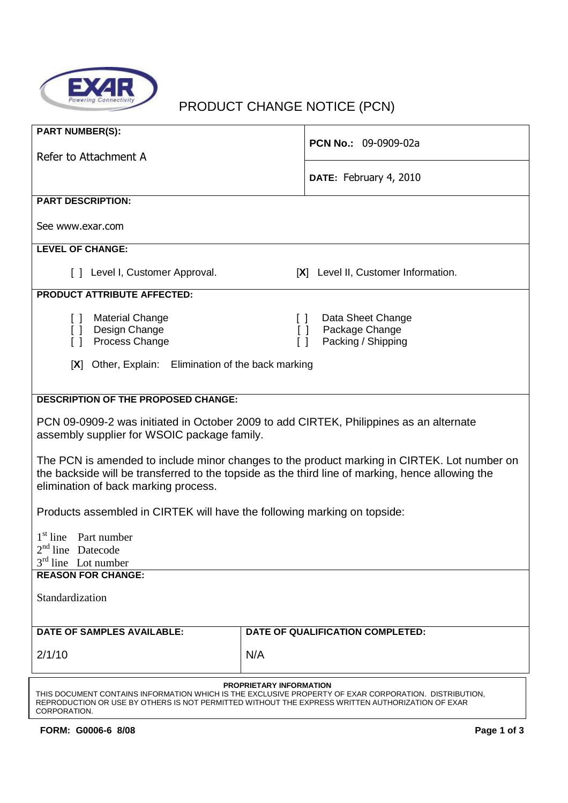

# PRODUCT CHANGE NOTICE (PCN)

| <b>PART NUMBER(S):</b>                                                                                                                                                                                                                                      |                                                                                         |  |
|-------------------------------------------------------------------------------------------------------------------------------------------------------------------------------------------------------------------------------------------------------------|-----------------------------------------------------------------------------------------|--|
| Refer to Attachment A                                                                                                                                                                                                                                       | PCN No.: 09-0909-02a                                                                    |  |
|                                                                                                                                                                                                                                                             | DATE: February 4, 2010                                                                  |  |
| <b>PART DESCRIPTION:</b>                                                                                                                                                                                                                                    |                                                                                         |  |
| See www.exar.com                                                                                                                                                                                                                                            |                                                                                         |  |
| <b>LEVEL OF CHANGE:</b>                                                                                                                                                                                                                                     |                                                                                         |  |
| [ ] Level I, Customer Approval.                                                                                                                                                                                                                             | [X] Level II, Customer Information.                                                     |  |
| <b>PRODUCT ATTRIBUTE AFFECTED:</b>                                                                                                                                                                                                                          |                                                                                         |  |
| <b>Material Change</b><br>[] Design Change<br>Process Change<br>$\Box$                                                                                                                                                                                      | Data Sheet Change<br>$\Box$<br>Package Change<br>$\Box$<br>Packing / Shipping<br>$\Box$ |  |
| Other, Explain: Elimination of the back marking<br>[X]                                                                                                                                                                                                      |                                                                                         |  |
|                                                                                                                                                                                                                                                             |                                                                                         |  |
| <b>DESCRIPTION OF THE PROPOSED CHANGE:</b>                                                                                                                                                                                                                  |                                                                                         |  |
| PCN 09-0909-2 was initiated in October 2009 to add CIRTEK, Philippines as an alternate<br>assembly supplier for WSOIC package family.                                                                                                                       |                                                                                         |  |
| The PCN is amended to include minor changes to the product marking in CIRTEK. Lot number on<br>the backside will be transferred to the topside as the third line of marking, hence allowing the<br>elimination of back marking process.                     |                                                                                         |  |
| Products assembled in CIRTEK will have the following marking on topside:                                                                                                                                                                                    |                                                                                         |  |
| 1 <sup>st</sup> line Part number<br>$2nd$ line Datecode<br>$3rd$ line Lot number                                                                                                                                                                            |                                                                                         |  |
| <b>REASON FOR CHANGE:</b>                                                                                                                                                                                                                                   |                                                                                         |  |
| Standardization                                                                                                                                                                                                                                             |                                                                                         |  |
| <b>DATE OF SAMPLES AVAILABLE:</b>                                                                                                                                                                                                                           | DATE OF QUALIFICATION COMPLETED:                                                        |  |
| 2/1/10                                                                                                                                                                                                                                                      | N/A                                                                                     |  |
|                                                                                                                                                                                                                                                             |                                                                                         |  |
| <b>PROPRIETARY INFORMATION</b><br>THIS DOCUMENT CONTAINS INFORMATION WHICH IS THE EXCLUSIVE PROPERTY OF EXAR CORPORATION. DISTRIBUTION,<br>REPRODUCTION OR USE BY OTHERS IS NOT PERMITTED WITHOUT THE EXPRESS WRITTEN AUTHORIZATION OF EXAR<br>CORPORATION. |                                                                                         |  |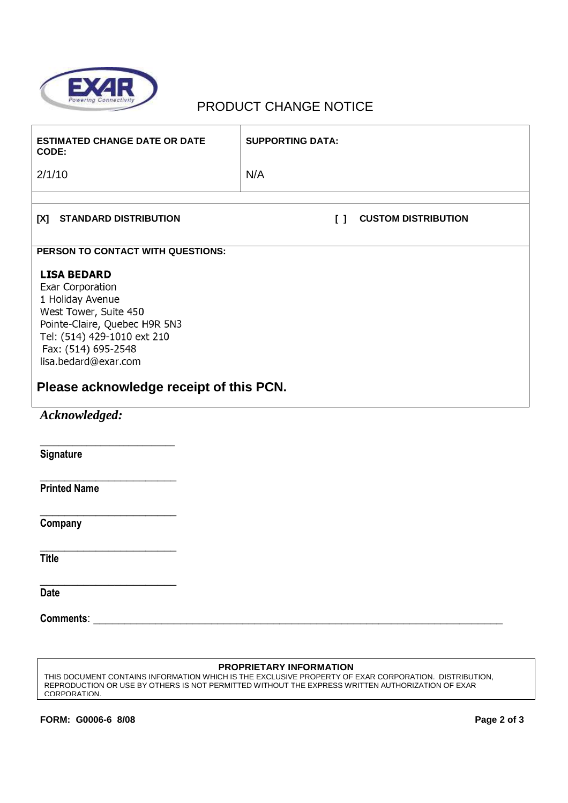

# PRODUCT CHANGE NOTICE

| <b>ESTIMATED CHANGE DATE OR DATE</b><br>CODE:                                                                                                                                                                                                 | <b>SUPPORTING DATA:</b>              |  |
|-----------------------------------------------------------------------------------------------------------------------------------------------------------------------------------------------------------------------------------------------|--------------------------------------|--|
| 2/1/10                                                                                                                                                                                                                                        | N/A                                  |  |
|                                                                                                                                                                                                                                               |                                      |  |
| [X]<br><b>STANDARD DISTRIBUTION</b>                                                                                                                                                                                                           | <b>CUSTOM DISTRIBUTION</b><br>$\Box$ |  |
| PERSON TO CONTACT WITH QUESTIONS:                                                                                                                                                                                                             |                                      |  |
| <b>LISA BEDARD</b><br>Exar Corporation<br>1 Holiday Avenue<br>West Tower, Suite 450<br>Pointe-Claire, Quebec H9R 5N3<br>Tel: (514) 429-1010 ext 210<br>Fax: (514) 695-2548<br>lisa.bedard@exar.com<br>Please acknowledge receipt of this PCN. |                                      |  |
|                                                                                                                                                                                                                                               |                                      |  |
| Acknowledged:                                                                                                                                                                                                                                 |                                      |  |
| Signature                                                                                                                                                                                                                                     |                                      |  |
| <b>Printed Name</b>                                                                                                                                                                                                                           |                                      |  |
| Company                                                                                                                                                                                                                                       |                                      |  |
| <b>Title</b>                                                                                                                                                                                                                                  |                                      |  |
| <b>Date</b>                                                                                                                                                                                                                                   |                                      |  |
|                                                                                                                                                                                                                                               |                                      |  |
|                                                                                                                                                                                                                                               |                                      |  |

#### **PROPRIETARY INFORMATION**

THIS DOCUMENT CONTAINS INFORMATION WHICH IS THE EXCLUSIVE PROPERTY OF EXAR CORPORATION. DISTRIBUTION, REPRODUCTION OR USE BY OTHERS IS NOT PERMITTED WITHOUT THE EXPRESS WRITTEN AUTHORIZATION OF EXAR CORPORATION.